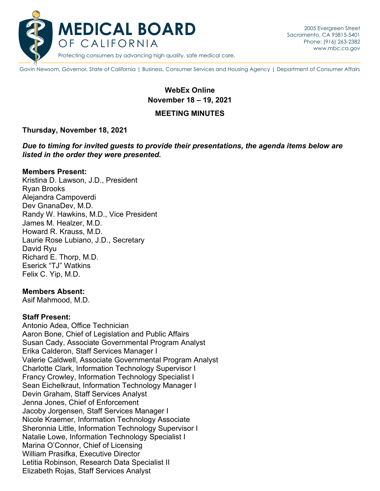

Gavin Newsom, Governor, State of California | Business, Consumer Services and Housing Agency | Department of Consumer Affairs

# **WebEx Online November 18 – 19, 2021**

#### **MEETING MINUTES**

#### **Thursday, November 18, 2021**

*Due to timing for invited guests to provide their presentations, the agenda items below are listed in the order they were presented.*

#### **Members Present:**

Kristina D. Lawson, J.D., President Ryan Brooks Alejandra Campoverdi Dev GnanaDev, M.D. Randy W. Hawkins, M.D., Vice President James M. Healzer, M.D. Howard R. Krauss, M.D. Laurie Rose Lubiano, J.D., Secretary David Ryu Richard E. Thorp, M.D. Eserick "TJ" Watkins Felix C. Yip, M.D.

#### **Members Absent:**

Asif Mahmood, M.D.

#### **Staff Present:**

Antonio Adea, Office Technician Aaron Bone, Chief of Legislation and Public Affairs Susan Cady, Associate Governmental Program Analyst Erika Calderon, Staff Services Manager I Valerie Caldwell, Associate Governmental Program Analyst Charlotte Clark, Information Technology Supervisor I Francy Crowley, Information Technology Specialist I Sean Eichelkraut, Information Technology Manager I Devin Graham, Staff Services Analyst Jenna Jones, Chief of Enforcement Jacoby Jorgensen, Staff Services Manager I Nicole Kraemer, Information Technology Associate Sheronnia Little, Information Technology Supervisor I Natalie Lowe, Information Technology Specialist I Marina O'Connor, Chief of Licensing William Prasifka, Executive Director Letitia Robinson, Research Data Specialist II Elizabeth Rojas, Staff Services Analyst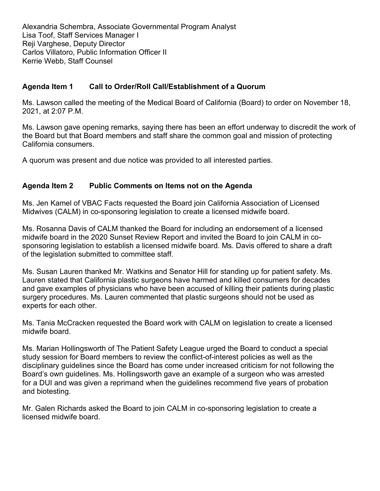Alexandria Schembra, Associate Governmental Program Analyst Lisa Toof, Staff Services Manager I Reji Varghese, Deputy Director Carlos Villatoro, Public Information Officer II Kerrie Webb, Staff Counsel

## **Agenda Item 1 Call to Order/Roll Call/Establishment of a Quorum**

Ms. Lawson called the meeting of the Medical Board of California (Board) to order on November 18, 2021, at 2:07 P.M.

Ms. Lawson gave opening remarks, saying there has been an effort underway to discredit the work of the Board but that Board members and staff share the common goal and mission of protecting California consumers.

A quorum was present and due notice was provided to all interested parties.

## **Agenda Item 2 Public Comments on Items not on the Agenda**

Ms. Jen Kamel of VBAC Facts requested the Board join California Association of Licensed Midwives (CALM) in co-sponsoring legislation to create a licensed midwife board.

Ms. Rosanna Davis of CALM thanked the Board for including an endorsement of a licensed midwife board in the 2020 Sunset Review Report and invited the Board to join CALM in cosponsoring legislation to establish a licensed midwife board. Ms. Davis offered to share a draft of the legislation submitted to committee staff.

Ms. Susan Lauren thanked Mr. Watkins and Senator Hill for standing up for patient safety. Ms. Lauren stated that California plastic surgeons have harmed and killed consumers for decades and gave examples of physicians who have been accused of killing their patients during plastic surgery procedures. Ms. Lauren commented that plastic surgeons should not be used as experts for each other.

Ms. Tania McCracken requested the Board work with CALM on legislation to create a licensed midwife board.

Ms. Marian Hollingsworth of The Patient Safety League urged the Board to conduct a special study session for Board members to review the conflict-of-interest policies as well as the disciplinary guidelines since the Board has come under increased criticism for not following the Board's own guidelines. Ms. Hollingsworth gave an example of a surgeon who was arrested for a DUI and was given a reprimand when the guidelines recommend five years of probation and biotesting.

Mr. Galen Richards asked the Board to join CALM in co-sponsoring legislation to create a licensed midwife board.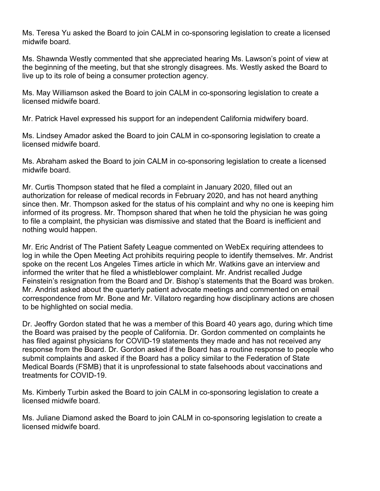Ms. Teresa Yu asked the Board to join CALM in co-sponsoring legislation to create a licensed midwife board.

Ms. Shawnda Westly commented that she appreciated hearing Ms. Lawson's point of view at the beginning of the meeting, but that she strongly disagrees. Ms. Westly asked the Board to live up to its role of being a consumer protection agency.

Ms. May Williamson asked the Board to join CALM in co-sponsoring legislation to create a licensed midwife board.

Mr. Patrick Havel expressed his support for an independent California midwifery board.

Ms. Lindsey Amador asked the Board to join CALM in co-sponsoring legislation to create a licensed midwife board.

Ms. Abraham asked the Board to join CALM in co-sponsoring legislation to create a licensed midwife board.

Mr. Curtis Thompson stated that he filed a complaint in January 2020, filled out an authorization for release of medical records in February 2020, and has not heard anything since then. Mr. Thompson asked for the status of his complaint and why no one is keeping him informed of its progress. Mr. Thompson shared that when he told the physician he was going to file a complaint, the physician was dismissive and stated that the Board is inefficient and nothing would happen.

Mr. Eric Andrist of The Patient Safety League commented on WebEx requiring attendees to log in while the Open Meeting Act prohibits requiring people to identify themselves. Mr. Andrist spoke on the recent Los Angeles Times article in which Mr. Watkins gave an interview and informed the writer that he filed a whistleblower complaint. Mr. Andrist recalled Judge Feinstein's resignation from the Board and Dr. Bishop's statements that the Board was broken. Mr. Andrist asked about the quarterly patient advocate meetings and commented on email correspondence from Mr. Bone and Mr. Villatoro regarding how disciplinary actions are chosen to be highlighted on social media.

Dr. Jeoffry Gordon stated that he was a member of this Board 40 years ago, during which time the Board was praised by the people of California. Dr. Gordon commented on complaints he has filed against physicians for COVID-19 statements they made and has not received any response from the Board. Dr. Gordon asked if the Board has a routine response to people who submit complaints and asked if the Board has a policy similar to the Federation of State Medical Boards (FSMB) that it is unprofessional to state falsehoods about vaccinations and treatments for COVID-19.

Ms. Kimberly Turbin asked the Board to join CALM in co-sponsoring legislation to create a licensed midwife board.

Ms. Juliane Diamond asked the Board to join CALM in co-sponsoring legislation to create a licensed midwife board.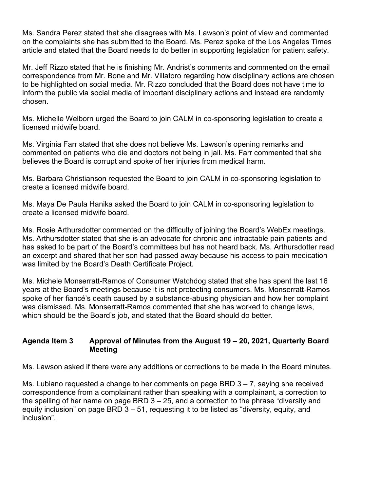Ms. Sandra Perez stated that she disagrees with Ms. Lawson's point of view and commented on the complaints she has submitted to the Board. Ms. Perez spoke of the Los Angeles Times article and stated that the Board needs to do better in supporting legislation for patient safety.

Mr. Jeff Rizzo stated that he is finishing Mr. Andrist's comments and commented on the email correspondence from Mr. Bone and Mr. Villatoro regarding how disciplinary actions are chosen to be highlighted on social media. Mr. Rizzo concluded that the Board does not have time to inform the public via social media of important disciplinary actions and instead are randomly chosen.

Ms. Michelle Welborn urged the Board to join CALM in co-sponsoring legislation to create a licensed midwife board.

Ms. Virginia Farr stated that she does not believe Ms. Lawson's opening remarks and commented on patients who die and doctors not being in jail. Ms. Farr commented that she believes the Board is corrupt and spoke of her injuries from medical harm.

Ms. Barbara Christianson requested the Board to join CALM in co-sponsoring legislation to create a licensed midwife board.

Ms. Maya De Paula Hanika asked the Board to join CALM in co-sponsoring legislation to create a licensed midwife board.

Ms. Rosie Arthursdotter commented on the difficulty of joining the Board's WebEx meetings. Ms. Arthursdotter stated that she is an advocate for chronic and intractable pain patients and has asked to be part of the Board's committees but has not heard back. Ms. Arthursdotter read an excerpt and shared that her son had passed away because his access to pain medication was limited by the Board's Death Certificate Project.

Ms. Michele Monserratt-Ramos of Consumer Watchdog stated that she has spent the last 16 years at the Board's meetings because it is not protecting consumers. Ms. Monserratt-Ramos spoke of her fiancé's death caused by a substance-abusing physician and how her complaint was dismissed. Ms. Monserratt-Ramos commented that she has worked to change laws, which should be the Board's job, and stated that the Board should do better.

#### **Agenda Item 3 Approval of Minutes from the August 19 – 20, 2021, Quarterly Board Meeting**

Ms. Lawson asked if there were any additions or corrections to be made in the Board minutes.

Ms. Lubiano requested a change to her comments on page BRD  $3 - 7$ , saying she received correspondence from a complainant rather than speaking with a complainant, a correction to the spelling of her name on page BRD  $3 - 25$ , and a correction to the phrase "diversity and equity inclusion" on page BRD 3 – 51, requesting it to be listed as "diversity, equity, and inclusion".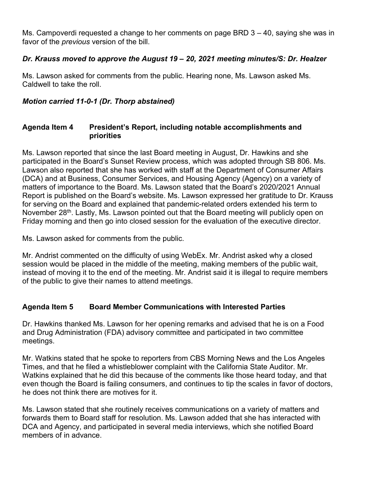Ms. Campoverdi requested a change to her comments on page BRD 3 – 40, saying she was in favor of the *previous* version of the bill.

## *Dr. Krauss moved to approve the August 19 – 20, 2021 meeting minutes/S: Dr. Healzer*

Ms. Lawson asked for comments from the public. Hearing none, Ms. Lawson asked Ms. Caldwell to take the roll.

## *Motion carried 11-0-1 (Dr. Thorp abstained)*

#### **Agenda Item 4 President's Report, including notable accomplishments and priorities**

Ms. Lawson reported that since the last Board meeting in August, Dr. Hawkins and she participated in the Board's Sunset Review process, which was adopted through SB 806. Ms. Lawson also reported that she has worked with staff at the Department of Consumer Affairs (DCA) and at Business, Consumer Services, and Housing Agency (Agency) on a variety of matters of importance to the Board. Ms. Lawson stated that the Board's 2020/2021 Annual Report is published on the Board's website. Ms. Lawson expressed her gratitude to Dr. Krauss for serving on the Board and explained that pandemic-related orders extended his term to November 28<sup>th</sup>. Lastly, Ms. Lawson pointed out that the Board meeting will publicly open on Friday morning and then go into closed session for the evaluation of the executive director.

Ms. Lawson asked for comments from the public.

Mr. Andrist commented on the difficulty of using WebEx. Mr. Andrist asked why a closed session would be placed in the middle of the meeting, making members of the public wait, instead of moving it to the end of the meeting. Mr. Andrist said it is illegal to require members of the public to give their names to attend meetings.

# **Agenda Item 5 Board Member Communications with Interested Parties**

Dr. Hawkins thanked Ms. Lawson for her opening remarks and advised that he is on a Food and Drug Administration (FDA) advisory committee and participated in two committee meetings.

Mr. Watkins stated that he spoke to reporters from CBS Morning News and the Los Angeles Times, and that he filed a whistleblower complaint with the California State Auditor. Mr. Watkins explained that he did this because of the comments like those heard today, and that even though the Board is failing consumers, and continues to tip the scales in favor of doctors, he does not think there are motives for it.

Ms. Lawson stated that she routinely receives communications on a variety of matters and forwards them to Board staff for resolution. Ms. Lawson added that she has interacted with DCA and Agency, and participated in several media interviews, which she notified Board members of in advance.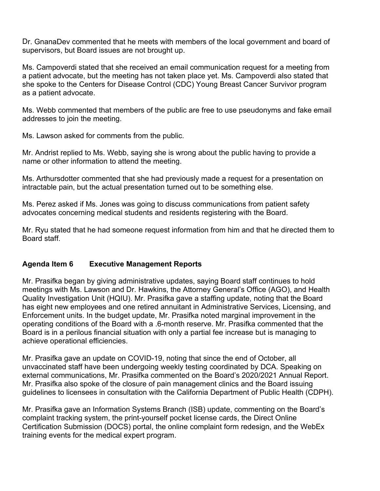Dr. GnanaDev commented that he meets with members of the local government and board of supervisors, but Board issues are not brought up.

Ms. Campoverdi stated that she received an email communication request for a meeting from a patient advocate, but the meeting has not taken place yet. Ms. Campoverdi also stated that she spoke to the Centers for Disease Control (CDC) Young Breast Cancer Survivor program as a patient advocate.

Ms. Webb commented that members of the public are free to use pseudonyms and fake email addresses to join the meeting.

Ms. Lawson asked for comments from the public.

Mr. Andrist replied to Ms. Webb, saying she is wrong about the public having to provide a name or other information to attend the meeting.

Ms. Arthursdotter commented that she had previously made a request for a presentation on intractable pain, but the actual presentation turned out to be something else.

Ms. Perez asked if Ms. Jones was going to discuss communications from patient safety advocates concerning medical students and residents registering with the Board.

Mr. Ryu stated that he had someone request information from him and that he directed them to Board staff.

## **Agenda Item 6 Executive Management Reports**

Mr. Prasifka began by giving administrative updates, saying Board staff continues to hold meetings with Ms. Lawson and Dr. Hawkins, the Attorney General's Office (AGO), and Health Quality Investigation Unit (HQIU). Mr. Prasifka gave a staffing update, noting that the Board has eight new employees and one retired annuitant in Administrative Services, Licensing, and Enforcement units. In the budget update, Mr. Prasifka noted marginal improvement in the operating conditions of the Board with a .6-month reserve. Mr. Prasifka commented that the Board is in a perilous financial situation with only a partial fee increase but is managing to achieve operational efficiencies.

Mr. Prasifka gave an update on COVID-19, noting that since the end of October, all unvaccinated staff have been undergoing weekly testing coordinated by DCA. Speaking on external communications, Mr. Prasifka commented on the Board's 2020/2021 Annual Report. Mr. Prasifka also spoke of the closure of pain management clinics and the Board issuing guidelines to licensees in consultation with the California Department of Public Health (CDPH).

Mr. Prasifka gave an Information Systems Branch (ISB) update, commenting on the Board's complaint tracking system, the print-yourself pocket license cards, the Direct Online Certification Submission (DOCS) portal, the online complaint form redesign, and the WebEx training events for the medical expert program.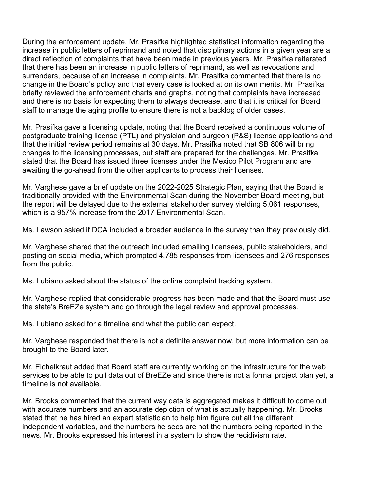During the enforcement update, Mr. Prasifka highlighted statistical information regarding the increase in public letters of reprimand and noted that disciplinary actions in a given year are a direct reflection of complaints that have been made in previous years. Mr. Prasifka reiterated that there has been an increase in public letters of reprimand, as well as revocations and surrenders, because of an increase in complaints. Mr. Prasifka commented that there is no change in the Board's policy and that every case is looked at on its own merits. Mr. Prasifka briefly reviewed the enforcement charts and graphs, noting that complaints have increased and there is no basis for expecting them to always decrease, and that it is critical for Board staff to manage the aging profile to ensure there is not a backlog of older cases.

Mr. Prasifka gave a licensing update, noting that the Board received a continuous volume of postgraduate training license (PTL) and physician and surgeon (P&S) license applications and that the initial review period remains at 30 days. Mr. Prasifka noted that SB 806 will bring changes to the licensing processes, but staff are prepared for the challenges. Mr. Prasifka stated that the Board has issued three licenses under the Mexico Pilot Program and are awaiting the go-ahead from the other applicants to process their licenses.

Mr. Varghese gave a brief update on the 2022-2025 Strategic Plan, saying that the Board is traditionally provided with the Environmental Scan during the November Board meeting, but the report will be delayed due to the external stakeholder survey yielding 5,061 responses, which is a 957% increase from the 2017 Environmental Scan.

Ms. Lawson asked if DCA included a broader audience in the survey than they previously did.

Mr. Varghese shared that the outreach included emailing licensees, public stakeholders, and posting on social media, which prompted 4,785 responses from licensees and 276 responses from the public.

Ms. Lubiano asked about the status of the online complaint tracking system.

Mr. Varghese replied that considerable progress has been made and that the Board must use the state's BreEZe system and go through the legal review and approval processes.

Ms. Lubiano asked for a timeline and what the public can expect.

Mr. Varghese responded that there is not a definite answer now, but more information can be brought to the Board later.

Mr. Eichelkraut added that Board staff are currently working on the infrastructure for the web services to be able to pull data out of BreEZe and since there is not a formal project plan yet, a timeline is not available.

Mr. Brooks commented that the current way data is aggregated makes it difficult to come out with accurate numbers and an accurate depiction of what is actually happening. Mr. Brooks stated that he has hired an expert statistician to help him figure out all the different independent variables, and the numbers he sees are not the numbers being reported in the news. Mr. Brooks expressed his interest in a system to show the recidivism rate.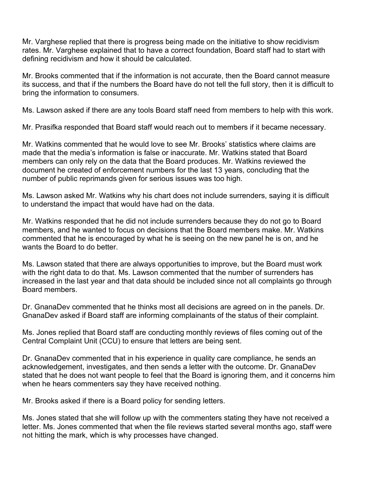Mr. Varghese replied that there is progress being made on the initiative to show recidivism rates. Mr. Varghese explained that to have a correct foundation, Board staff had to start with defining recidivism and how it should be calculated.

Mr. Brooks commented that if the information is not accurate, then the Board cannot measure its success, and that if the numbers the Board have do not tell the full story, then it is difficult to bring the information to consumers.

Ms. Lawson asked if there are any tools Board staff need from members to help with this work.

Mr. Prasifka responded that Board staff would reach out to members if it became necessary.

Mr. Watkins commented that he would love to see Mr. Brooks' statistics where claims are made that the media's information is false or inaccurate. Mr. Watkins stated that Board members can only rely on the data that the Board produces. Mr. Watkins reviewed the document he created of enforcement numbers for the last 13 years, concluding that the number of public reprimands given for serious issues was too high.

Ms. Lawson asked Mr. Watkins why his chart does not include surrenders, saying it is difficult to understand the impact that would have had on the data.

Mr. Watkins responded that he did not include surrenders because they do not go to Board members, and he wanted to focus on decisions that the Board members make. Mr. Watkins commented that he is encouraged by what he is seeing on the new panel he is on, and he wants the Board to do better.

Ms. Lawson stated that there are always opportunities to improve, but the Board must work with the right data to do that. Ms. Lawson commented that the number of surrenders has increased in the last year and that data should be included since not all complaints go through Board members.

Dr. GnanaDev commented that he thinks most all decisions are agreed on in the panels. Dr. GnanaDev asked if Board staff are informing complainants of the status of their complaint.

Ms. Jones replied that Board staff are conducting monthly reviews of files coming out of the Central Complaint Unit (CCU) to ensure that letters are being sent.

Dr. GnanaDev commented that in his experience in quality care compliance, he sends an acknowledgement, investigates, and then sends a letter with the outcome. Dr. GnanaDev stated that he does not want people to feel that the Board is ignoring them, and it concerns him when he hears commenters say they have received nothing.

Mr. Brooks asked if there is a Board policy for sending letters.

Ms. Jones stated that she will follow up with the commenters stating they have not received a letter. Ms. Jones commented that when the file reviews started several months ago, staff were not hitting the mark, which is why processes have changed.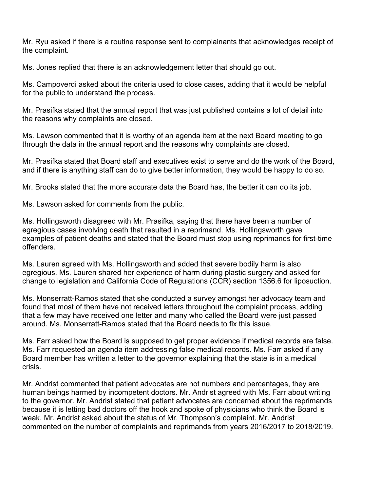Mr. Ryu asked if there is a routine response sent to complainants that acknowledges receipt of the complaint.

Ms. Jones replied that there is an acknowledgement letter that should go out.

Ms. Campoverdi asked about the criteria used to close cases, adding that it would be helpful for the public to understand the process.

Mr. Prasifka stated that the annual report that was just published contains a lot of detail into the reasons why complaints are closed.

Ms. Lawson commented that it is worthy of an agenda item at the next Board meeting to go through the data in the annual report and the reasons why complaints are closed.

Mr. Prasifka stated that Board staff and executives exist to serve and do the work of the Board, and if there is anything staff can do to give better information, they would be happy to do so.

Mr. Brooks stated that the more accurate data the Board has, the better it can do its job.

Ms. Lawson asked for comments from the public.

Ms. Hollingsworth disagreed with Mr. Prasifka, saying that there have been a number of egregious cases involving death that resulted in a reprimand. Ms. Hollingsworth gave examples of patient deaths and stated that the Board must stop using reprimands for first-time offenders.

Ms. Lauren agreed with Ms. Hollingsworth and added that severe bodily harm is also egregious. Ms. Lauren shared her experience of harm during plastic surgery and asked for change to legislation and California Code of Regulations (CCR) section 1356.6 for liposuction.

Ms. Monserratt-Ramos stated that she conducted a survey amongst her advocacy team and found that most of them have not received letters throughout the complaint process, adding that a few may have received one letter and many who called the Board were just passed around. Ms. Monserratt-Ramos stated that the Board needs to fix this issue.

Ms. Farr asked how the Board is supposed to get proper evidence if medical records are false. Ms. Farr requested an agenda item addressing false medical records. Ms. Farr asked if any Board member has written a letter to the governor explaining that the state is in a medical crisis.

Mr. Andrist commented that patient advocates are not numbers and percentages, they are human beings harmed by incompetent doctors. Mr. Andrist agreed with Ms. Farr about writing to the governor. Mr. Andrist stated that patient advocates are concerned about the reprimands because it is letting bad doctors off the hook and spoke of physicians who think the Board is weak. Mr. Andrist asked about the status of Mr. Thompson's complaint. Mr. Andrist commented on the number of complaints and reprimands from years 2016/2017 to 2018/2019.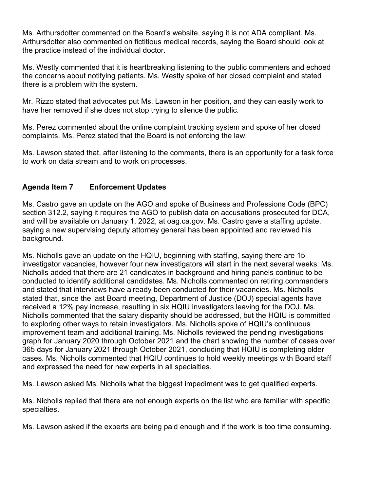Ms. Arthursdotter commented on the Board's website, saying it is not ADA compliant. Ms. Arthursdotter also commented on fictitious medical records, saying the Board should look at the practice instead of the individual doctor.

Ms. Westly commented that it is heartbreaking listening to the public commenters and echoed the concerns about notifying patients. Ms. Westly spoke of her closed complaint and stated there is a problem with the system.

Mr. Rizzo stated that advocates put Ms. Lawson in her position, and they can easily work to have her removed if she does not stop trying to silence the public.

Ms. Perez commented about the online complaint tracking system and spoke of her closed complaints. Ms. Perez stated that the Board is not enforcing the law.

Ms. Lawson stated that, after listening to the comments, there is an opportunity for a task force to work on data stream and to work on processes.

## **Agenda Item 7 Enforcement Updates**

Ms. Castro gave an update on the AGO and spoke of Business and Professions Code (BPC) section 312.2, saying it requires the AGO to publish data on accusations prosecuted for DCA, and will be available on January 1, 2022, at oag.ca.gov. Ms. Castro gave a staffing update, saying a new supervising deputy attorney general has been appointed and reviewed his background.

Ms. Nicholls gave an update on the HQIU, beginning with staffing, saying there are 15 investigator vacancies, however four new investigators will start in the next several weeks. Ms. Nicholls added that there are 21 candidates in background and hiring panels continue to be conducted to identify additional candidates. Ms. Nicholls commented on retiring commanders and stated that interviews have already been conducted for their vacancies. Ms. Nicholls stated that, since the last Board meeting, Department of Justice (DOJ) special agents have received a 12% pay increase, resulting in six HQIU investigators leaving for the DOJ. Ms. Nicholls commented that the salary disparity should be addressed, but the HQIU is committed to exploring other ways to retain investigators. Ms. Nicholls spoke of HQIU's continuous improvement team and additional training. Ms. Nicholls reviewed the pending investigations graph for January 2020 through October 2021 and the chart showing the number of cases over 365 days for January 2021 through October 2021, concluding that HQIU is completing older cases. Ms. Nicholls commented that HQIU continues to hold weekly meetings with Board staff and expressed the need for new experts in all specialties.

Ms. Lawson asked Ms. Nicholls what the biggest impediment was to get qualified experts.

Ms. Nicholls replied that there are not enough experts on the list who are familiar with specific specialties.

Ms. Lawson asked if the experts are being paid enough and if the work is too time consuming.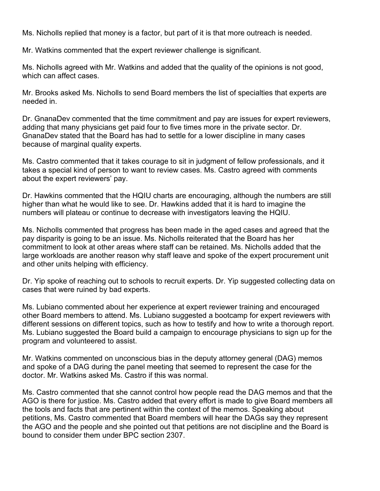Ms. Nicholls replied that money is a factor, but part of it is that more outreach is needed.

Mr. Watkins commented that the expert reviewer challenge is significant.

Ms. Nicholls agreed with Mr. Watkins and added that the quality of the opinions is not good, which can affect cases.

Mr. Brooks asked Ms. Nicholls to send Board members the list of specialties that experts are needed in.

Dr. GnanaDev commented that the time commitment and pay are issues for expert reviewers, adding that many physicians get paid four to five times more in the private sector. Dr. GnanaDev stated that the Board has had to settle for a lower discipline in many cases because of marginal quality experts.

Ms. Castro commented that it takes courage to sit in judgment of fellow professionals, and it takes a special kind of person to want to review cases. Ms. Castro agreed with comments about the expert reviewers' pay.

Dr. Hawkins commented that the HQIU charts are encouraging, although the numbers are still higher than what he would like to see. Dr. Hawkins added that it is hard to imagine the numbers will plateau or continue to decrease with investigators leaving the HQIU.

Ms. Nicholls commented that progress has been made in the aged cases and agreed that the pay disparity is going to be an issue. Ms. Nicholls reiterated that the Board has her commitment to look at other areas where staff can be retained. Ms. Nicholls added that the large workloads are another reason why staff leave and spoke of the expert procurement unit and other units helping with efficiency.

Dr. Yip spoke of reaching out to schools to recruit experts. Dr. Yip suggested collecting data on cases that were ruined by bad experts.

Ms. Lubiano commented about her experience at expert reviewer training and encouraged other Board members to attend. Ms. Lubiano suggested a bootcamp for expert reviewers with different sessions on different topics, such as how to testify and how to write a thorough report. Ms. Lubiano suggested the Board build a campaign to encourage physicians to sign up for the program and volunteered to assist.

Mr. Watkins commented on unconscious bias in the deputy attorney general (DAG) memos and spoke of a DAG during the panel meeting that seemed to represent the case for the doctor. Mr. Watkins asked Ms. Castro if this was normal.

Ms. Castro commented that she cannot control how people read the DAG memos and that the AGO is there for justice. Ms. Castro added that every effort is made to give Board members all the tools and facts that are pertinent within the context of the memos. Speaking about petitions, Ms. Castro commented that Board members will hear the DAGs say they represent the AGO and the people and she pointed out that petitions are not discipline and the Board is bound to consider them under BPC section 2307.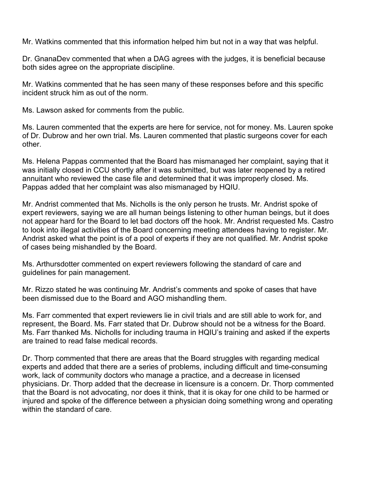Mr. Watkins commented that this information helped him but not in a way that was helpful.

Dr. GnanaDev commented that when a DAG agrees with the judges, it is beneficial because both sides agree on the appropriate discipline.

Mr. Watkins commented that he has seen many of these responses before and this specific incident struck him as out of the norm.

Ms. Lawson asked for comments from the public.

Ms. Lauren commented that the experts are here for service, not for money. Ms. Lauren spoke of Dr. Dubrow and her own trial. Ms. Lauren commented that plastic surgeons cover for each other.

Ms. Helena Pappas commented that the Board has mismanaged her complaint, saying that it was initially closed in CCU shortly after it was submitted, but was later reopened by a retired annuitant who reviewed the case file and determined that it was improperly closed. Ms. Pappas added that her complaint was also mismanaged by HQIU.

Mr. Andrist commented that Ms. Nicholls is the only person he trusts. Mr. Andrist spoke of expert reviewers, saying we are all human beings listening to other human beings, but it does not appear hard for the Board to let bad doctors off the hook. Mr. Andrist requested Ms. Castro to look into illegal activities of the Board concerning meeting attendees having to register. Mr. Andrist asked what the point is of a pool of experts if they are not qualified. Mr. Andrist spoke of cases being mishandled by the Board.

Ms. Arthursdotter commented on expert reviewers following the standard of care and guidelines for pain management.

Mr. Rizzo stated he was continuing Mr. Andrist's comments and spoke of cases that have been dismissed due to the Board and AGO mishandling them.

Ms. Farr commented that expert reviewers lie in civil trials and are still able to work for, and represent, the Board. Ms. Farr stated that Dr. Dubrow should not be a witness for the Board. Ms. Farr thanked Ms. Nicholls for including trauma in HQIU's training and asked if the experts are trained to read false medical records.

Dr. Thorp commented that there are areas that the Board struggles with regarding medical experts and added that there are a series of problems, including difficult and time-consuming work, lack of community doctors who manage a practice, and a decrease in licensed physicians. Dr. Thorp added that the decrease in licensure is a concern. Dr. Thorp commented that the Board is not advocating, nor does it think, that it is okay for one child to be harmed or injured and spoke of the difference between a physician doing something wrong and operating within the standard of care.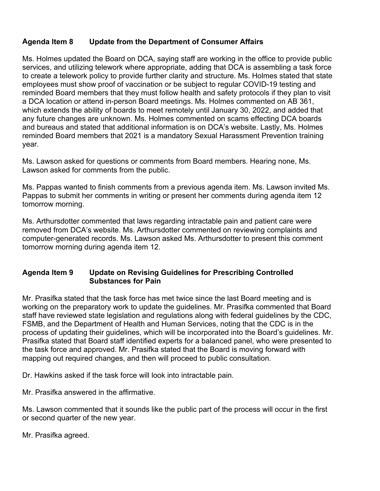## **Agenda Item 8 Update from the Department of Consumer Affairs**

Ms. Holmes updated the Board on DCA, saying staff are working in the office to provide public services, and utilizing telework where appropriate, adding that DCA is assembling a task force to create a telework policy to provide further clarity and structure. Ms. Holmes stated that state employees must show proof of vaccination or be subject to regular COVID-19 testing and reminded Board members that they must follow health and safety protocols if they plan to visit a DCA location or attend in-person Board meetings. Ms. Holmes commented on AB 361, which extends the ability of boards to meet remotely until January 30, 2022, and added that any future changes are unknown. Ms. Holmes commented on scams effecting DCA boards and bureaus and stated that additional information is on DCA's website. Lastly, Ms. Holmes reminded Board members that 2021 is a mandatory Sexual Harassment Prevention training year.

Ms. Lawson asked for questions or comments from Board members. Hearing none, Ms. Lawson asked for comments from the public.

Ms. Pappas wanted to finish comments from a previous agenda item. Ms. Lawson invited Ms. Pappas to submit her comments in writing or present her comments during agenda item 12 tomorrow morning.

Ms. Arthursdotter commented that laws regarding intractable pain and patient care were removed from DCA's website. Ms. Arthursdotter commented on reviewing complaints and computer-generated records. Ms. Lawson asked Ms. Arthursdotter to present this comment tomorrow morning during agenda item 12.

#### **Agenda Item 9 Update on Revising Guidelines for Prescribing Controlled Substances for Pain**

Mr. Prasifka stated that the task force has met twice since the last Board meeting and is working on the preparatory work to update the guidelines. Mr. Prasifka commented that Board staff have reviewed state legislation and regulations along with federal guidelines by the CDC, FSMB, and the Department of Health and Human Services, noting that the CDC is in the process of updating their guidelines, which will be incorporated into the Board's guidelines. Mr. Prasifka stated that Board staff identified experts for a balanced panel, who were presented to the task force and approved. Mr. Prasifka stated that the Board is moving forward with mapping out required changes, and then will proceed to public consultation.

Dr. Hawkins asked if the task force will look into intractable pain.

Mr. Prasifka answered in the affirmative.

Ms. Lawson commented that it sounds like the public part of the process will occur in the first or second quarter of the new year.

Mr. Prasifka agreed.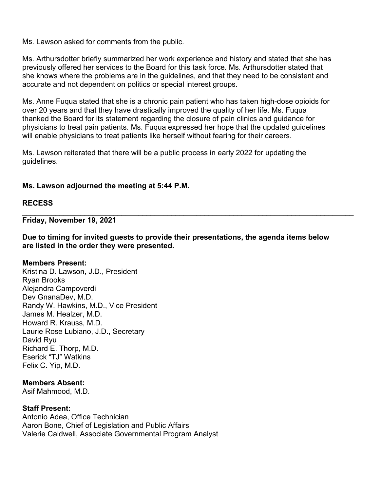Ms. Lawson asked for comments from the public.

Ms. Arthursdotter briefly summarized her work experience and history and stated that she has previously offered her services to the Board for this task force. Ms. Arthursdotter stated that she knows where the problems are in the guidelines, and that they need to be consistent and accurate and not dependent on politics or special interest groups.

Ms. Anne Fuqua stated that she is a chronic pain patient who has taken high-dose opioids for over 20 years and that they have drastically improved the quality of her life. Ms. Fuqua thanked the Board for its statement regarding the closure of pain clinics and guidance for physicians to treat pain patients. Ms. Fuqua expressed her hope that the updated guidelines will enable physicians to treat patients like herself without fearing for their careers.

Ms. Lawson reiterated that there will be a public process in early 2022 for updating the guidelines.

#### **Ms. Lawson adjourned the meeting at 5:44 P.M.**

#### **RECESS**

**Friday, November 19, 2021**

**Due to timing for invited guests to provide their presentations, the agenda items below are listed in the order they were presented.**

\_\_\_\_\_\_\_\_\_\_\_\_\_\_\_\_\_\_\_\_\_\_\_\_\_\_\_\_\_\_\_\_\_\_\_\_\_\_\_\_\_\_\_\_\_\_\_\_\_\_\_\_\_\_\_\_\_\_\_\_\_\_\_\_\_\_\_\_\_\_\_\_\_\_\_\_\_\_\_\_

#### **Members Present:**

Kristina D. Lawson, J.D., President Ryan Brooks Alejandra Campoverdi Dev GnanaDev, M.D. Randy W. Hawkins, M.D., Vice President James M. Healzer, M.D. Howard R. Krauss, M.D. Laurie Rose Lubiano, J.D., Secretary David Ryu Richard E. Thorp, M.D. Eserick "TJ" Watkins Felix C. Yip, M.D.

#### **Members Absent:**

Asif Mahmood, M.D.

#### **Staff Present:**

Antonio Adea, Office Technician Aaron Bone, Chief of Legislation and Public Affairs Valerie Caldwell, Associate Governmental Program Analyst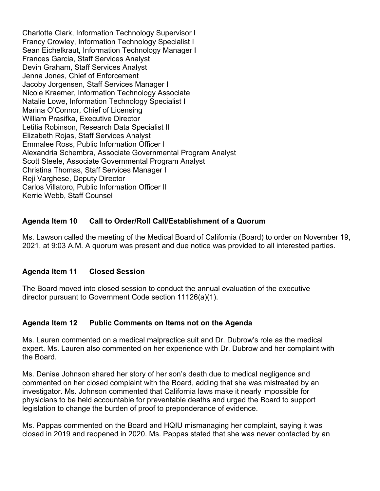Charlotte Clark, Information Technology Supervisor I Francy Crowley, Information Technology Specialist I Sean Eichelkraut, Information Technology Manager I Frances Garcia, Staff Services Analyst Devin Graham, Staff Services Analyst Jenna Jones, Chief of Enforcement Jacoby Jorgensen, Staff Services Manager I Nicole Kraemer, Information Technology Associate Natalie Lowe, Information Technology Specialist I Marina O'Connor, Chief of Licensing William Prasifka, Executive Director Letitia Robinson, Research Data Specialist II Elizabeth Rojas, Staff Services Analyst Emmalee Ross, Public Information Officer I Alexandria Schembra, Associate Governmental Program Analyst Scott Steele, Associate Governmental Program Analyst Christina Thomas, Staff Services Manager I Reji Varghese, Deputy Director Carlos Villatoro, Public Information Officer II Kerrie Webb, Staff Counsel

## **Agenda Item 10 Call to Order/Roll Call/Establishment of a Quorum**

Ms. Lawson called the meeting of the Medical Board of California (Board) to order on November 19, 2021, at 9:03 A.M. A quorum was present and due notice was provided to all interested parties.

## **Agenda Item 11 Closed Session**

The Board moved into closed session to conduct the annual evaluation of the executive director pursuant to Government Code section 11126(a)(1).

#### **Agenda Item 12 Public Comments on Items not on the Agenda**

Ms. Lauren commented on a medical malpractice suit and Dr. Dubrow's role as the medical expert. Ms. Lauren also commented on her experience with Dr. Dubrow and her complaint with the Board.

Ms. Denise Johnson shared her story of her son's death due to medical negligence and commented on her closed complaint with the Board, adding that she was mistreated by an investigator. Ms. Johnson commented that California laws make it nearly impossible for physicians to be held accountable for preventable deaths and urged the Board to support legislation to change the burden of proof to preponderance of evidence.

Ms. Pappas commented on the Board and HQIU mismanaging her complaint, saying it was closed in 2019 and reopened in 2020. Ms. Pappas stated that she was never contacted by an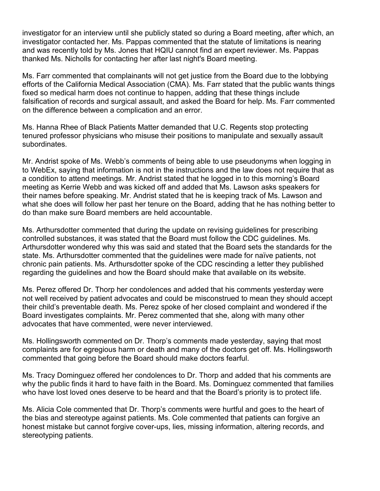investigator for an interview until she publicly stated so during a Board meeting, after which, an investigator contacted her. Ms. Pappas commented that the statute of limitations is nearing and was recently told by Ms. Jones that HQIU cannot find an expert reviewer. Ms. Pappas thanked Ms. Nicholls for contacting her after last night's Board meeting.

Ms. Farr commented that complainants will not get justice from the Board due to the lobbying efforts of the California Medical Association (CMA). Ms. Farr stated that the public wants things fixed so medical harm does not continue to happen, adding that these things include falsification of records and surgical assault, and asked the Board for help. Ms. Farr commented on the difference between a complication and an error.

Ms. Hanna Rhee of Black Patients Matter demanded that U.C. Regents stop protecting tenured professor physicians who misuse their positions to manipulate and sexually assault subordinates.

Mr. Andrist spoke of Ms. Webb's comments of being able to use pseudonyms when logging in to WebEx, saying that information is not in the instructions and the law does not require that as a condition to attend meetings. Mr. Andrist stated that he logged in to this morning's Board meeting as Kerrie Webb and was kicked off and added that Ms. Lawson asks speakers for their names before speaking. Mr. Andrist stated that he is keeping track of Ms. Lawson and what she does will follow her past her tenure on the Board, adding that he has nothing better to do than make sure Board members are held accountable.

Ms. Arthursdotter commented that during the update on revising guidelines for prescribing controlled substances, it was stated that the Board must follow the CDC guidelines. Ms. Arthursdotter wondered why this was said and stated that the Board sets the standards for the state. Ms. Arthursdotter commented that the guidelines were made for naïve patients, not chronic pain patients. Ms. Arthursdotter spoke of the CDC rescinding a letter they published regarding the guidelines and how the Board should make that available on its website.

Ms. Perez offered Dr. Thorp her condolences and added that his comments yesterday were not well received by patient advocates and could be misconstrued to mean they should accept their child's preventable death. Ms. Perez spoke of her closed complaint and wondered if the Board investigates complaints. Mr. Perez commented that she, along with many other advocates that have commented, were never interviewed.

Ms. Hollingsworth commented on Dr. Thorp's comments made yesterday, saying that most complaints are for egregious harm or death and many of the doctors get off. Ms. Hollingsworth commented that going before the Board should make doctors fearful.

Ms. Tracy Dominguez offered her condolences to Dr. Thorp and added that his comments are why the public finds it hard to have faith in the Board. Ms. Dominguez commented that families who have lost loved ones deserve to be heard and that the Board's priority is to protect life.

Ms. Alicia Cole commented that Dr. Thorp's comments were hurtful and goes to the heart of the bias and stereotype against patients. Ms. Cole commented that patients can forgive an honest mistake but cannot forgive cover-ups, lies, missing information, altering records, and stereotyping patients.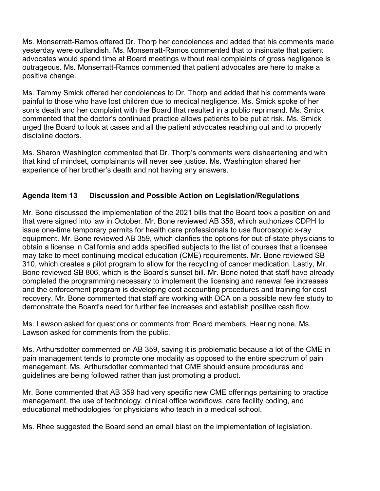Ms. Monserratt-Ramos offered Dr. Thorp her condolences and added that his comments made yesterday were outlandish. Ms. Monserratt-Ramos commented that to insinuate that patient advocates would spend time at Board meetings without real complaints of gross negligence is outrageous. Ms. Monserratt-Ramos commented that patient advocates are here to make a positive change.

Ms. Tammy Smick offered her condolences to Dr. Thorp and added that his comments were painful to those who have lost children due to medical negligence. Ms. Smick spoke of her son's death and her complaint with the Board that resulted in a public reprimand. Ms. Smick commented that the doctor's continued practice allows patients to be put at risk. Ms. Smick urged the Board to look at cases and all the patient advocates reaching out and to properly discipline doctors.

Ms. Sharon Washington commented that Dr. Thorp's comments were disheartening and with that kind of mindset, complainants will never see justice. Ms. Washington shared her experience of her brother's death and not having any answers.

## **Agenda Item 13 Discussion and Possible Action on Legislation/Regulations**

Mr. Bone discussed the implementation of the 2021 bills that the Board took a position on and that were signed into law in October. Mr. Bone reviewed AB 356, which authorizes CDPH to issue one-time temporary permits for health care professionals to use fluoroscopic x-ray equipment. Mr. Bone reviewed AB 359, which clarifies the options for out-of-state physicians to obtain a license in California and adds specified subjects to the list of courses that a licensee may take to meet continuing medical education (CME) requirements. Mr. Bone reviewed SB 310, which creates a pilot program to allow for the recycling of cancer medication. Lastly, Mr. Bone reviewed SB 806, which is the Board's sunset bill. Mr. Bone noted that staff have already completed the programming necessary to implement the licensing and renewal fee increases and the enforcement program is developing cost accounting procedures and training for cost recovery. Mr. Bone commented that staff are working with DCA on a possible new fee study to demonstrate the Board's need for further fee increases and establish positive cash flow.

Ms. Lawson asked for questions or comments from Board members. Hearing none, Ms. Lawson asked for comments from the public.

Ms. Arthursdotter commented on AB 359, saying it is problematic because a lot of the CME in pain management tends to promote one modality as opposed to the entire spectrum of pain management. Ms. Arthursdotter commented that CME should ensure procedures and guidelines are being followed rather than just promoting a product.

Mr. Bone commented that AB 359 had very specific new CME offerings pertaining to practice management, the use of technology, clinical office workflows, care facility coding, and educational methodologies for physicians who teach in a medical school.

Ms. Rhee suggested the Board send an email blast on the implementation of legislation.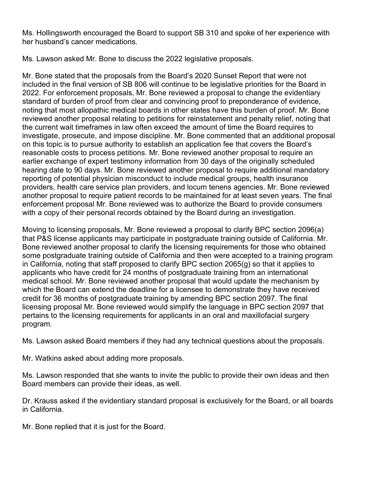Ms. Hollingsworth encouraged the Board to support SB 310 and spoke of her experience with her husband's cancer medications.

Ms. Lawson asked Mr. Bone to discuss the 2022 legislative proposals.

Mr. Bone stated that the proposals from the Board's 2020 Sunset Report that were not included in the final version of SB 806 will continue to be legislative priorities for the Board in 2022. For enforcement proposals, Mr. Bone reviewed a proposal to change the evidentiary standard of burden of proof from clear and convincing proof to preponderance of evidence, noting that most allopathic medical boards in other states have this burden of proof. Mr. Bone reviewed another proposal relating to petitions for reinstatement and penalty relief, noting that the current wait timeframes in law often exceed the amount of time the Board requires to investigate, prosecute, and impose discipline. Mr. Bone commented that an additional proposal on this topic is to pursue authority to establish an application fee that covers the Board's reasonable costs to process petitions. Mr. Bone reviewed another proposal to require an earlier exchange of expert testimony information from 30 days of the originally scheduled hearing date to 90 days. Mr. Bone reviewed another proposal to require additional mandatory reporting of potential physician misconduct to include medical groups, health insurance providers, health care service plan providers, and locum tenens agencies. Mr. Bone reviewed another proposal to require patient records to be maintained for at least seven years. The final enforcement proposal Mr. Bone reviewed was to authorize the Board to provide consumers with a copy of their personal records obtained by the Board during an investigation.

Moving to licensing proposals, Mr. Bone reviewed a proposal to clarify BPC section 2096(a) that P&S license applicants may participate in postgraduate training outside of California. Mr. Bone reviewed another proposal to clarify the licensing requirements for those who obtained some postgraduate training outside of California and then were accepted to a training program in California, noting that staff proposed to clarify BPC section 2065(g) so that it applies to applicants who have credit for 24 months of postgraduate training from an international medical school. Mr. Bone reviewed another proposal that would update the mechanism by which the Board can extend the deadline for a licensee to demonstrate they have received credit for 36 months of postgraduate training by amending BPC section 2097. The final licensing proposal Mr. Bone reviewed would simplify the language in BPC section 2097 that pertains to the licensing requirements for applicants in an oral and maxillofacial surgery program.

Ms. Lawson asked Board members if they had any technical questions about the proposals.

Mr. Watkins asked about adding more proposals.

Ms. Lawson responded that she wants to invite the public to provide their own ideas and then Board members can provide their ideas, as well.

Dr. Krauss asked if the evidentiary standard proposal is exclusively for the Board, or all boards in California.

Mr. Bone replied that it is just for the Board.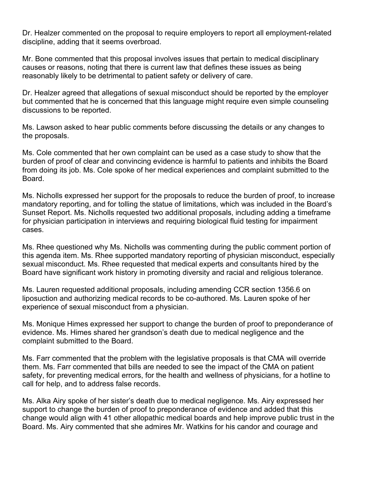Dr. Healzer commented on the proposal to require employers to report all employment-related discipline, adding that it seems overbroad.

Mr. Bone commented that this proposal involves issues that pertain to medical disciplinary causes or reasons, noting that there is current law that defines these issues as being reasonably likely to be detrimental to patient safety or delivery of care.

Dr. Healzer agreed that allegations of sexual misconduct should be reported by the employer but commented that he is concerned that this language might require even simple counseling discussions to be reported.

Ms. Lawson asked to hear public comments before discussing the details or any changes to the proposals.

Ms. Cole commented that her own complaint can be used as a case study to show that the burden of proof of clear and convincing evidence is harmful to patients and inhibits the Board from doing its job. Ms. Cole spoke of her medical experiences and complaint submitted to the **Board** 

Ms. Nicholls expressed her support for the proposals to reduce the burden of proof, to increase mandatory reporting, and for tolling the statue of limitations, which was included in the Board's Sunset Report. Ms. Nicholls requested two additional proposals, including adding a timeframe for physician participation in interviews and requiring biological fluid testing for impairment cases.

Ms. Rhee questioned why Ms. Nicholls was commenting during the public comment portion of this agenda item. Ms. Rhee supported mandatory reporting of physician misconduct, especially sexual misconduct. Ms. Rhee requested that medical experts and consultants hired by the Board have significant work history in promoting diversity and racial and religious tolerance.

Ms. Lauren requested additional proposals, including amending CCR section 1356.6 on liposuction and authorizing medical records to be co-authored. Ms. Lauren spoke of her experience of sexual misconduct from a physician.

Ms. Monique Himes expressed her support to change the burden of proof to preponderance of evidence. Ms. Himes shared her grandson's death due to medical negligence and the complaint submitted to the Board.

Ms. Farr commented that the problem with the legislative proposals is that CMA will override them. Ms. Farr commented that bills are needed to see the impact of the CMA on patient safety, for preventing medical errors, for the health and wellness of physicians, for a hotline to call for help, and to address false records.

Ms. Alka Airy spoke of her sister's death due to medical negligence. Ms. Airy expressed her support to change the burden of proof to preponderance of evidence and added that this change would align with 41 other allopathic medical boards and help improve public trust in the Board. Ms. Airy commented that she admires Mr. Watkins for his candor and courage and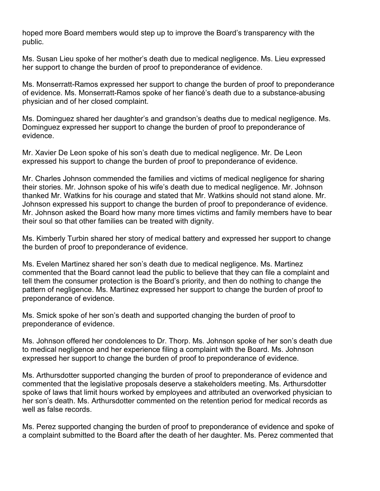hoped more Board members would step up to improve the Board's transparency with the public.

Ms. Susan Lieu spoke of her mother's death due to medical negligence. Ms. Lieu expressed her support to change the burden of proof to preponderance of evidence.

Ms. Monserratt-Ramos expressed her support to change the burden of proof to preponderance of evidence. Ms. Monserratt-Ramos spoke of her fiancé's death due to a substance-abusing physician and of her closed complaint.

Ms. Dominguez shared her daughter's and grandson's deaths due to medical negligence. Ms. Dominguez expressed her support to change the burden of proof to preponderance of evidence.

Mr. Xavier De Leon spoke of his son's death due to medical negligence. Mr. De Leon expressed his support to change the burden of proof to preponderance of evidence.

Mr. Charles Johnson commended the families and victims of medical negligence for sharing their stories. Mr. Johnson spoke of his wife's death due to medical negligence. Mr. Johnson thanked Mr. Watkins for his courage and stated that Mr. Watkins should not stand alone. Mr. Johnson expressed his support to change the burden of proof to preponderance of evidence. Mr. Johnson asked the Board how many more times victims and family members have to bear their soul so that other families can be treated with dignity.

Ms. Kimberly Turbin shared her story of medical battery and expressed her support to change the burden of proof to preponderance of evidence.

Ms. Evelen Martinez shared her son's death due to medical negligence. Ms. Martinez commented that the Board cannot lead the public to believe that they can file a complaint and tell them the consumer protection is the Board's priority, and then do nothing to change the pattern of negligence. Ms. Martinez expressed her support to change the burden of proof to preponderance of evidence.

Ms. Smick spoke of her son's death and supported changing the burden of proof to preponderance of evidence.

Ms. Johnson offered her condolences to Dr. Thorp. Ms. Johnson spoke of her son's death due to medical negligence and her experience filing a complaint with the Board. Ms. Johnson expressed her support to change the burden of proof to preponderance of evidence.

Ms. Arthursdotter supported changing the burden of proof to preponderance of evidence and commented that the legislative proposals deserve a stakeholders meeting. Ms. Arthursdotter spoke of laws that limit hours worked by employees and attributed an overworked physician to her son's death. Ms. Arthursdotter commented on the retention period for medical records as well as false records.

Ms. Perez supported changing the burden of proof to preponderance of evidence and spoke of a complaint submitted to the Board after the death of her daughter. Ms. Perez commented that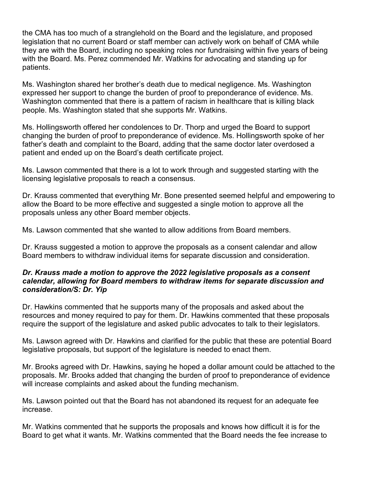the CMA has too much of a stranglehold on the Board and the legislature, and proposed legislation that no current Board or staff member can actively work on behalf of CMA while they are with the Board, including no speaking roles nor fundraising within five years of being with the Board. Ms. Perez commended Mr. Watkins for advocating and standing up for patients.

Ms. Washington shared her brother's death due to medical negligence. Ms. Washington expressed her support to change the burden of proof to preponderance of evidence. Ms. Washington commented that there is a pattern of racism in healthcare that is killing black people. Ms. Washington stated that she supports Mr. Watkins.

Ms. Hollingsworth offered her condolences to Dr. Thorp and urged the Board to support changing the burden of proof to preponderance of evidence. Ms. Hollingsworth spoke of her father's death and complaint to the Board, adding that the same doctor later overdosed a patient and ended up on the Board's death certificate project.

Ms. Lawson commented that there is a lot to work through and suggested starting with the licensing legislative proposals to reach a consensus.

Dr. Krauss commented that everything Mr. Bone presented seemed helpful and empowering to allow the Board to be more effective and suggested a single motion to approve all the proposals unless any other Board member objects.

Ms. Lawson commented that she wanted to allow additions from Board members.

Dr. Krauss suggested a motion to approve the proposals as a consent calendar and allow Board members to withdraw individual items for separate discussion and consideration.

#### *Dr. Krauss made a motion to approve the 2022 legislative proposals as a consent calendar, allowing for Board members to withdraw items for separate discussion and consideration/S: Dr. Yip*

Dr. Hawkins commented that he supports many of the proposals and asked about the resources and money required to pay for them. Dr. Hawkins commented that these proposals require the support of the legislature and asked public advocates to talk to their legislators.

Ms. Lawson agreed with Dr. Hawkins and clarified for the public that these are potential Board legislative proposals, but support of the legislature is needed to enact them.

Mr. Brooks agreed with Dr. Hawkins, saying he hoped a dollar amount could be attached to the proposals. Mr. Brooks added that changing the burden of proof to preponderance of evidence will increase complaints and asked about the funding mechanism.

Ms. Lawson pointed out that the Board has not abandoned its request for an adequate fee increase.

Mr. Watkins commented that he supports the proposals and knows how difficult it is for the Board to get what it wants. Mr. Watkins commented that the Board needs the fee increase to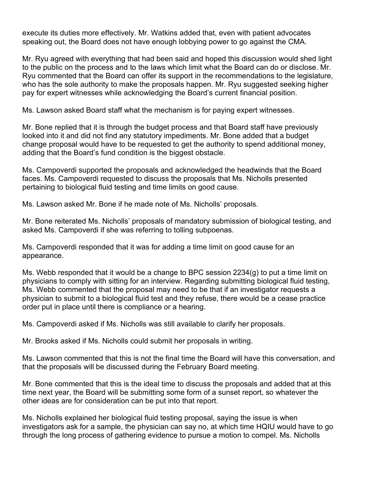execute its duties more effectively. Mr. Watkins added that, even with patient advocates speaking out, the Board does not have enough lobbying power to go against the CMA.

Mr. Ryu agreed with everything that had been said and hoped this discussion would shed light to the public on the process and to the laws which limit what the Board can do or disclose. Mr. Ryu commented that the Board can offer its support in the recommendations to the legislature, who has the sole authority to make the proposals happen. Mr. Ryu suggested seeking higher pay for expert witnesses while acknowledging the Board's current financial position.

Ms. Lawson asked Board staff what the mechanism is for paying expert witnesses.

Mr. Bone replied that it is through the budget process and that Board staff have previously looked into it and did not find any statutory impediments. Mr. Bone added that a budget change proposal would have to be requested to get the authority to spend additional money, adding that the Board's fund condition is the biggest obstacle.

Ms. Campoverdi supported the proposals and acknowledged the headwinds that the Board faces. Ms. Campoverdi requested to discuss the proposals that Ms. Nicholls presented pertaining to biological fluid testing and time limits on good cause.

Ms. Lawson asked Mr. Bone if he made note of Ms. Nicholls' proposals.

Mr. Bone reiterated Ms. Nicholls' proposals of mandatory submission of biological testing, and asked Ms. Campoverdi if she was referring to tolling subpoenas.

Ms. Campoverdi responded that it was for adding a time limit on good cause for an appearance.

Ms. Webb responded that it would be a change to BPC session 2234(g) to put a time limit on physicians to comply with sitting for an interview. Regarding submitting biological fluid testing, Ms. Webb commented that the proposal may need to be that if an investigator requests a physician to submit to a biological fluid test and they refuse, there would be a cease practice order put in place until there is compliance or a hearing.

Ms. Campoverdi asked if Ms. Nicholls was still available to clarify her proposals.

Mr. Brooks asked if Ms. Nicholls could submit her proposals in writing.

Ms. Lawson commented that this is not the final time the Board will have this conversation, and that the proposals will be discussed during the February Board meeting.

Mr. Bone commented that this is the ideal time to discuss the proposals and added that at this time next year, the Board will be submitting some form of a sunset report, so whatever the other ideas are for consideration can be put into that report.

Ms. Nicholls explained her biological fluid testing proposal, saying the issue is when investigators ask for a sample, the physician can say no, at which time HQIU would have to go through the long process of gathering evidence to pursue a motion to compel. Ms. Nicholls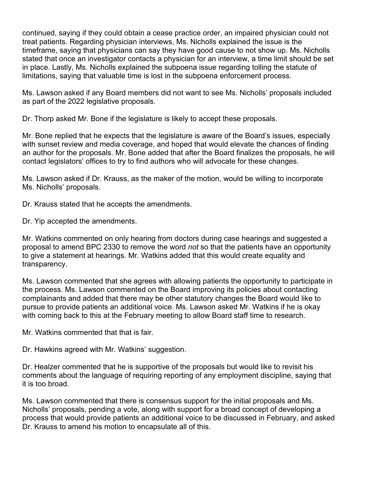continued, saying if they could obtain a cease practice order, an impaired physician could not treat patients. Regarding physician interviews, Ms. Nicholls explained the issue is the timeframe, saying that physicians can say they have good cause to not show up. Ms. Nicholls stated that once an investigator contacts a physician for an interview, a time limit should be set in place. Lastly, Ms. Nicholls explained the subpoena issue regarding tolling the statute of limitations, saying that valuable time is lost in the subpoena enforcement process.

Ms. Lawson asked if any Board members did not want to see Ms. Nicholls' proposals included as part of the 2022 legislative proposals.

Dr. Thorp asked Mr. Bone if the legislature is likely to accept these proposals.

Mr. Bone replied that he expects that the legislature is aware of the Board's issues, especially with sunset review and media coverage, and hoped that would elevate the chances of finding an author for the proposals. Mr. Bone added that after the Board finalizes the proposals, he will contact legislators' offices to try to find authors who will advocate for these changes.

Ms. Lawson asked if Dr. Krauss, as the maker of the motion, would be willing to incorporate Ms. Nicholls' proposals.

Dr. Krauss stated that he accepts the amendments.

Dr. Yip accepted the amendments.

Mr. Watkins commented on only hearing from doctors during case hearings and suggested a proposal to amend BPC 2330 to remove the word *not* so that the patients have an opportunity to give a statement at hearings. Mr. Watkins added that this would create equality and transparency.

Ms. Lawson commented that she agrees with allowing patients the opportunity to participate in the process. Ms. Lawson commented on the Board improving its policies about contacting complainants and added that there may be other statutory changes the Board would like to pursue to provide patients an additional voice. Ms. Lawson asked Mr. Watkins if he is okay with coming back to this at the February meeting to allow Board staff time to research.

Mr. Watkins commented that that is fair.

Dr. Hawkins agreed with Mr. Watkins' suggestion.

Dr. Healzer commented that he is supportive of the proposals but would like to revisit his comments about the language of requiring reporting of any employment discipline, saying that it is too broad.

Ms. Lawson commented that there is consensus support for the initial proposals and Ms. Nicholls' proposals, pending a vote, along with support for a broad concept of developing a process that would provide patients an additional voice to be discussed in February, and asked Dr. Krauss to amend his motion to encapsulate all of this.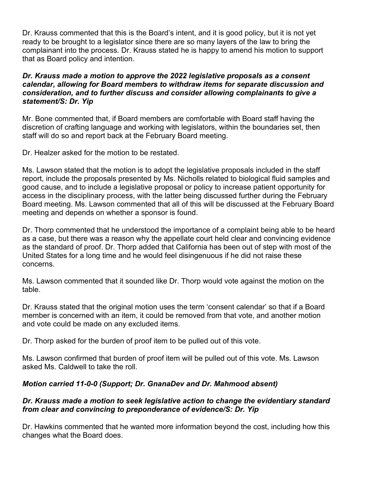Dr. Krauss commented that this is the Board's intent, and it is good policy, but it is not yet ready to be brought to a legislator since there are so many layers of the law to bring the complainant into the process. Dr. Krauss stated he is happy to amend his motion to support that as Board policy and intention.

#### *Dr. Krauss made a motion to approve the 2022 legislative proposals as a consent calendar, allowing for Board members to withdraw items for separate discussion and consideration, and to further discuss and consider allowing complainants to give a statement/S: Dr. Yip*

Mr. Bone commented that, if Board members are comfortable with Board staff having the discretion of crafting language and working with legislators, within the boundaries set, then staff will do so and report back at the February Board meeting.

Dr. Healzer asked for the motion to be restated.

Ms. Lawson stated that the motion is to adopt the legislative proposals included in the staff report, include the proposals presented by Ms. Nicholls related to biological fluid samples and good cause, and to include a legislative proposal or policy to increase patient opportunity for access in the disciplinary process, with the latter being discussed further during the February Board meeting. Ms. Lawson commented that all of this will be discussed at the February Board meeting and depends on whether a sponsor is found.

Dr. Thorp commented that he understood the importance of a complaint being able to be heard as a case, but there was a reason why the appellate court held clear and convincing evidence as the standard of proof. Dr. Thorp added that California has been out of step with most of the United States for a long time and he would feel disingenuous if he did not raise these concerns.

Ms. Lawson commented that it sounded like Dr. Thorp would vote against the motion on the table.

Dr. Krauss stated that the original motion uses the term 'consent calendar' so that if a Board member is concerned with an item, it could be removed from that vote, and another motion and vote could be made on any excluded items.

Dr. Thorp asked for the burden of proof item to be pulled out of this vote.

Ms. Lawson confirmed that burden of proof item will be pulled out of this vote. Ms. Lawson asked Ms. Caldwell to take the roll.

## *Motion carried 11-0-0 (Support; Dr. GnanaDev and Dr. Mahmood absent)*

#### *Dr. Krauss made a motion to seek legislative action to change the evidentiary standard from clear and convincing to preponderance of evidence/S: Dr. Yip*

Dr. Hawkins commented that he wanted more information beyond the cost, including how this changes what the Board does.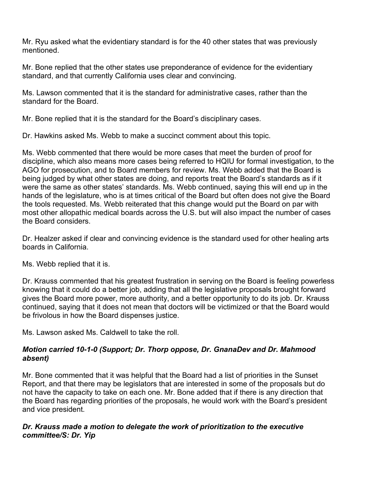Mr. Ryu asked what the evidentiary standard is for the 40 other states that was previously mentioned.

Mr. Bone replied that the other states use preponderance of evidence for the evidentiary standard, and that currently California uses clear and convincing.

Ms. Lawson commented that it is the standard for administrative cases, rather than the standard for the Board.

Mr. Bone replied that it is the standard for the Board's disciplinary cases.

Dr. Hawkins asked Ms. Webb to make a succinct comment about this topic.

Ms. Webb commented that there would be more cases that meet the burden of proof for discipline, which also means more cases being referred to HQIU for formal investigation, to the AGO for prosecution, and to Board members for review. Ms. Webb added that the Board is being judged by what other states are doing, and reports treat the Board's standards as if it were the same as other states' standards. Ms. Webb continued, saying this will end up in the hands of the legislature, who is at times critical of the Board but often does not give the Board the tools requested. Ms. Webb reiterated that this change would put the Board on par with most other allopathic medical boards across the U.S. but will also impact the number of cases the Board considers.

Dr. Healzer asked if clear and convincing evidence is the standard used for other healing arts boards in California.

Ms. Webb replied that it is.

Dr. Krauss commented that his greatest frustration in serving on the Board is feeling powerless knowing that it could do a better job, adding that all the legislative proposals brought forward gives the Board more power, more authority, and a better opportunity to do its job. Dr. Krauss continued, saying that it does not mean that doctors will be victimized or that the Board would be frivolous in how the Board dispenses justice.

Ms. Lawson asked Ms. Caldwell to take the roll.

## *Motion carried 10-1-0 (Support; Dr. Thorp oppose, Dr. GnanaDev and Dr. Mahmood absent)*

Mr. Bone commented that it was helpful that the Board had a list of priorities in the Sunset Report, and that there may be legislators that are interested in some of the proposals but do not have the capacity to take on each one. Mr. Bone added that if there is any direction that the Board has regarding priorities of the proposals, he would work with the Board's president and vice president.

#### *Dr. Krauss made a motion to delegate the work of prioritization to the executive committee/S: Dr. Yip*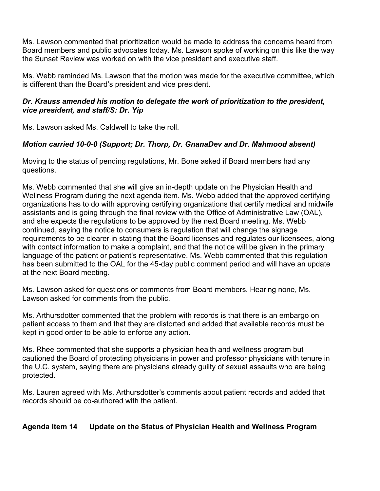Ms. Lawson commented that prioritization would be made to address the concerns heard from Board members and public advocates today. Ms. Lawson spoke of working on this like the way the Sunset Review was worked on with the vice president and executive staff.

Ms. Webb reminded Ms. Lawson that the motion was made for the executive committee, which is different than the Board's president and vice president.

#### *Dr. Krauss amended his motion to delegate the work of prioritization to the president, vice president, and staff/S: Dr. Yip*

Ms. Lawson asked Ms. Caldwell to take the roll.

# *Motion carried 10-0-0 (Support; Dr. Thorp, Dr. GnanaDev and Dr. Mahmood absent)*

Moving to the status of pending regulations, Mr. Bone asked if Board members had any questions.

Ms. Webb commented that she will give an in-depth update on the Physician Health and Wellness Program during the next agenda item. Ms. Webb added that the approved certifying organizations has to do with approving certifying organizations that certify medical and midwife assistants and is going through the final review with the Office of Administrative Law (OAL), and she expects the regulations to be approved by the next Board meeting. Ms. Webb continued, saying the notice to consumers is regulation that will change the signage requirements to be clearer in stating that the Board licenses and regulates our licensees, along with contact information to make a complaint, and that the notice will be given in the primary language of the patient or patient's representative. Ms. Webb commented that this regulation has been submitted to the OAL for the 45-day public comment period and will have an update at the next Board meeting.

Ms. Lawson asked for questions or comments from Board members. Hearing none, Ms. Lawson asked for comments from the public.

Ms. Arthursdotter commented that the problem with records is that there is an embargo on patient access to them and that they are distorted and added that available records must be kept in good order to be able to enforce any action.

Ms. Rhee commented that she supports a physician health and wellness program but cautioned the Board of protecting physicians in power and professor physicians with tenure in the U.C. system, saying there are physicians already guilty of sexual assaults who are being protected.

Ms. Lauren agreed with Ms. Arthursdotter's comments about patient records and added that records should be co-authored with the patient.

## **Agenda Item 14 Update on the Status of Physician Health and Wellness Program**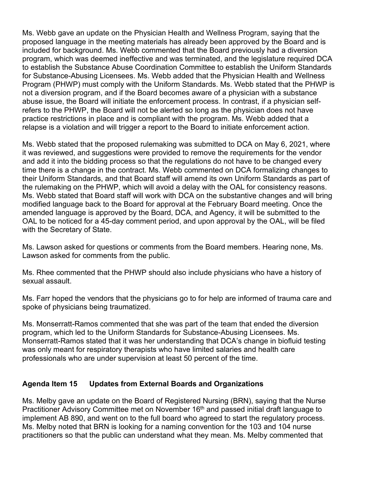Ms. Webb gave an update on the Physician Health and Wellness Program, saying that the proposed language in the meeting materials has already been approved by the Board and is included for background. Ms. Webb commented that the Board previously had a diversion program, which was deemed ineffective and was terminated, and the legislature required DCA to establish the Substance Abuse Coordination Committee to establish the Uniform Standards for Substance-Abusing Licensees. Ms. Webb added that the Physician Health and Wellness Program (PHWP) must comply with the Uniform Standards. Ms. Webb stated that the PHWP is not a diversion program, and if the Board becomes aware of a physician with a substance abuse issue, the Board will initiate the enforcement process. In contrast, if a physician selfrefers to the PHWP, the Board will not be alerted so long as the physician does not have practice restrictions in place and is compliant with the program. Ms. Webb added that a relapse is a violation and will trigger a report to the Board to initiate enforcement action.

Ms. Webb stated that the proposed rulemaking was submitted to DCA on May 6, 2021, where it was reviewed, and suggestions were provided to remove the requirements for the vendor and add it into the bidding process so that the regulations do not have to be changed every time there is a change in the contract. Ms. Webb commented on DCA formalizing changes to their Uniform Standards, and that Board staff will amend its own Uniform Standards as part of the rulemaking on the PHWP, which will avoid a delay with the OAL for consistency reasons. Ms. Webb stated that Board staff will work with DCA on the substantive changes and will bring modified language back to the Board for approval at the February Board meeting. Once the amended language is approved by the Board, DCA, and Agency, it will be submitted to the OAL to be noticed for a 45-day comment period, and upon approval by the OAL, will be filed with the Secretary of State.

Ms. Lawson asked for questions or comments from the Board members. Hearing none, Ms. Lawson asked for comments from the public.

Ms. Rhee commented that the PHWP should also include physicians who have a history of sexual assault.

Ms. Farr hoped the vendors that the physicians go to for help are informed of trauma care and spoke of physicians being traumatized.

Ms. Monserratt-Ramos commented that she was part of the team that ended the diversion program, which led to the Uniform Standards for Substance-Abusing Licensees. Ms. Monserratt-Ramos stated that it was her understanding that DCA's change in biofluid testing was only meant for respiratory therapists who have limited salaries and health care professionals who are under supervision at least 50 percent of the time.

#### **Agenda Item 15 Updates from External Boards and Organizations**

Ms. Melby gave an update on the Board of Registered Nursing (BRN), saying that the Nurse Practitioner Advisory Committee met on November 16<sup>th</sup> and passed initial draft language to implement AB 890, and went on to the full board who agreed to start the regulatory process. Ms. Melby noted that BRN is looking for a naming convention for the 103 and 104 nurse practitioners so that the public can understand what they mean. Ms. Melby commented that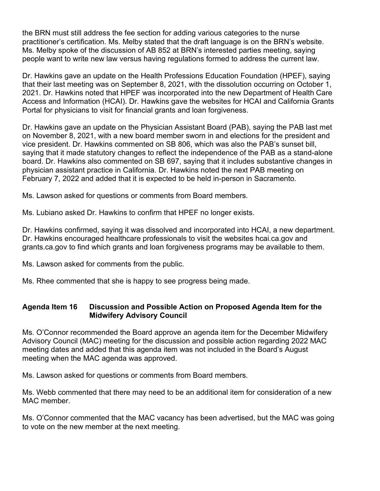the BRN must still address the fee section for adding various categories to the nurse practitioner's certification. Ms. Melby stated that the draft language is on the BRN's website. Ms. Melby spoke of the discussion of AB 852 at BRN's interested parties meeting, saying people want to write new law versus having regulations formed to address the current law.

Dr. Hawkins gave an update on the Health Professions Education Foundation (HPEF), saying that their last meeting was on September 8, 2021, with the dissolution occurring on October 1, 2021. Dr. Hawkins noted that HPEF was incorporated into the new Department of Health Care Access and Information (HCAI). Dr. Hawkins gave the websites for HCAI and California Grants Portal for physicians to visit for financial grants and loan forgiveness.

Dr. Hawkins gave an update on the Physician Assistant Board (PAB), saying the PAB last met on November 8, 2021, with a new board member sworn in and elections for the president and vice president. Dr. Hawkins commented on SB 806, which was also the PAB's sunset bill, saying that it made statutory changes to reflect the independence of the PAB as a stand-alone board. Dr. Hawkins also commented on SB 697, saying that it includes substantive changes in physician assistant practice in California. Dr. Hawkins noted the next PAB meeting on February 7, 2022 and added that it is expected to be held in-person in Sacramento.

Ms. Lawson asked for questions or comments from Board members.

Ms. Lubiano asked Dr. Hawkins to confirm that HPEF no longer exists.

Dr. Hawkins confirmed, saying it was dissolved and incorporated into HCAI, a new department. Dr. Hawkins encouraged healthcare professionals to visit the websites hcai.ca.gov and grants.ca.gov to find which grants and loan forgiveness programs may be available to them.

Ms. Lawson asked for comments from the public.

Ms. Rhee commented that she is happy to see progress being made.

## **Agenda Item 16 Discussion and Possible Action on Proposed Agenda Item for the Midwifery Advisory Council**

Ms. O'Connor recommended the Board approve an agenda item for the December Midwifery Advisory Council (MAC) meeting for the discussion and possible action regarding 2022 MAC meeting dates and added that this agenda item was not included in the Board's August meeting when the MAC agenda was approved.

Ms. Lawson asked for questions or comments from Board members.

Ms. Webb commented that there may need to be an additional item for consideration of a new MAC member.

Ms. O'Connor commented that the MAC vacancy has been advertised, but the MAC was going to vote on the new member at the next meeting.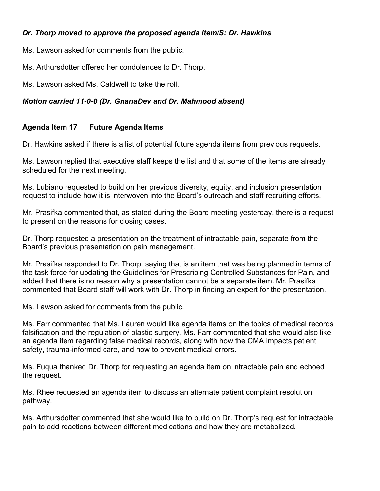## *Dr. Thorp moved to approve the proposed agenda item/S: Dr. Hawkins*

Ms. Lawson asked for comments from the public.

Ms. Arthursdotter offered her condolences to Dr. Thorp.

Ms. Lawson asked Ms. Caldwell to take the roll.

### *Motion carried 11-0-0 (Dr. GnanaDev and Dr. Mahmood absent)*

## **Agenda Item 17 Future Agenda Items**

Dr. Hawkins asked if there is a list of potential future agenda items from previous requests.

Ms. Lawson replied that executive staff keeps the list and that some of the items are already scheduled for the next meeting.

Ms. Lubiano requested to build on her previous diversity, equity, and inclusion presentation request to include how it is interwoven into the Board's outreach and staff recruiting efforts.

Mr. Prasifka commented that, as stated during the Board meeting yesterday, there is a request to present on the reasons for closing cases.

Dr. Thorp requested a presentation on the treatment of intractable pain, separate from the Board's previous presentation on pain management.

Mr. Prasifka responded to Dr. Thorp, saying that is an item that was being planned in terms of the task force for updating the Guidelines for Prescribing Controlled Substances for Pain, and added that there is no reason why a presentation cannot be a separate item. Mr. Prasifka commented that Board staff will work with Dr. Thorp in finding an expert for the presentation.

Ms. Lawson asked for comments from the public.

Ms. Farr commented that Ms. Lauren would like agenda items on the topics of medical records falsification and the regulation of plastic surgery. Ms. Farr commented that she would also like an agenda item regarding false medical records, along with how the CMA impacts patient safety, trauma-informed care, and how to prevent medical errors.

Ms. Fuqua thanked Dr. Thorp for requesting an agenda item on intractable pain and echoed the request.

Ms. Rhee requested an agenda item to discuss an alternate patient complaint resolution pathway.

Ms. Arthursdotter commented that she would like to build on Dr. Thorp's request for intractable pain to add reactions between different medications and how they are metabolized.